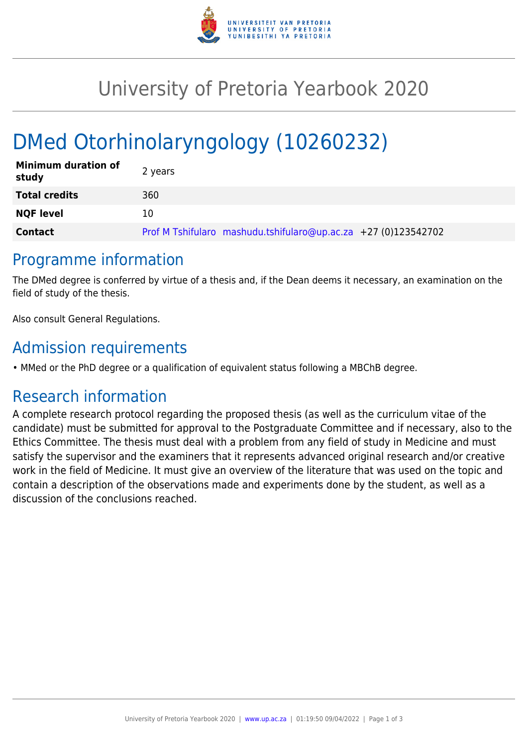

## University of Pretoria Yearbook 2020

# DMed Otorhinolaryngology (10260232)

| <b>Minimum duration of</b><br>study | 2 years                                                        |
|-------------------------------------|----------------------------------------------------------------|
| <b>Total credits</b>                | 360                                                            |
| <b>NQF level</b>                    | 10                                                             |
| <b>Contact</b>                      | Prof M Tshifularo mashudu.tshifularo@up.ac.za +27 (0)123542702 |

#### Programme information

The DMed degree is conferred by virtue of a thesis and, if the Dean deems it necessary, an examination on the field of study of the thesis.

Also consult General Regulations.

#### Admission requirements

• MMed or the PhD degree or a qualification of equivalent status following a MBChB degree.

### Research information

A complete research protocol regarding the proposed thesis (as well as the curriculum vitae of the candidate) must be submitted for approval to the Postgraduate Committee and if necessary, also to the Ethics Committee. The thesis must deal with a problem from any field of study in Medicine and must satisfy the supervisor and the examiners that it represents advanced original research and/or creative work in the field of Medicine. It must give an overview of the literature that was used on the topic and contain a description of the observations made and experiments done by the student, as well as a discussion of the conclusions reached.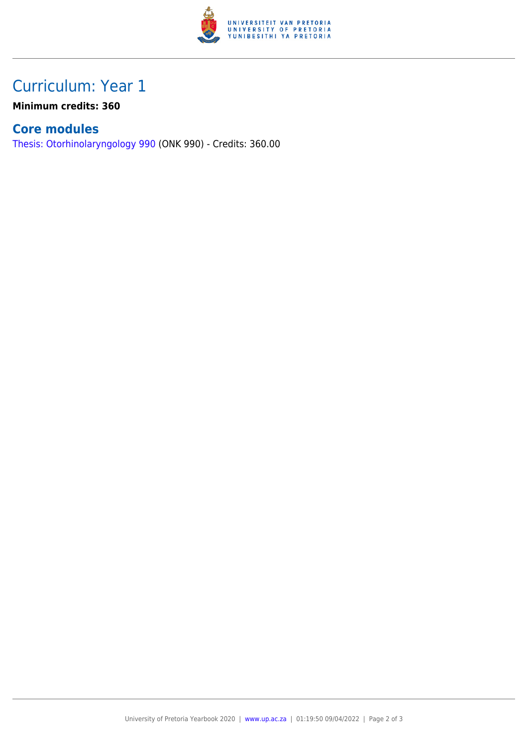

## Curriculum: Year 1

**Minimum credits: 360**

#### **Core modules**

[Thesis: Otorhinolaryngology 990](https://www.up.ac.za/faculty-of-education/yearbooks/2020/modules/view/ONK 990) (ONK 990) - Credits: 360.00